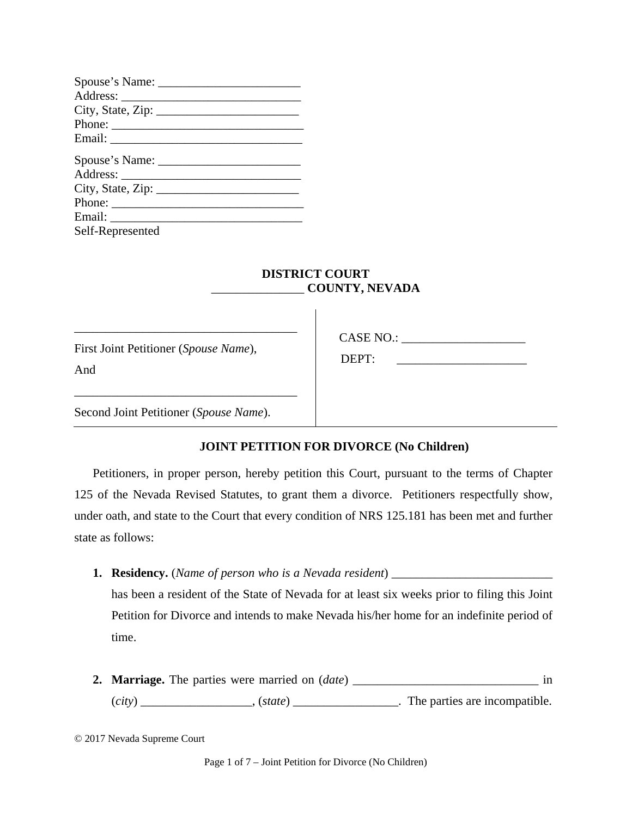| Phone:           |
|------------------|
|                  |
|                  |
|                  |
|                  |
|                  |
|                  |
| Self-Represented |

# **DISTRICT COURT**  \_\_\_\_\_\_\_\_\_\_\_\_\_\_\_ **COUNTY, NEVADA**

 $\overline{\phantom{a}}$ 

First Joint Petitioner (*Spouse Name*), And

\_\_\_\_\_\_\_\_\_\_\_\_\_\_\_\_\_\_\_\_\_\_\_\_\_\_\_\_\_\_\_\_\_\_\_\_

\_\_\_\_\_\_\_\_\_\_\_\_\_\_\_\_\_\_\_\_\_\_\_\_\_\_\_\_\_\_\_\_\_\_\_\_

CASE NO.:

DEPT:

Second Joint Petitioner (*Spouse Name*).

### **JOINT PETITION FOR DIVORCE (No Children)**

Petitioners, in proper person, hereby petition this Court, pursuant to the terms of Chapter 125 of the Nevada Revised Statutes, to grant them a divorce. Petitioners respectfully show, under oath, and state to the Court that every condition of NRS 125.181 has been met and further state as follows:

**1. Residency.** (*Name of person who is a Nevada resident*) \_\_\_\_\_\_\_\_\_\_\_\_\_\_\_\_\_\_\_\_\_\_\_\_\_\_ has been a resident of the State of Nevada for at least six weeks prior to filing this Joint

Petition for Divorce and intends to make Nevada his/her home for an indefinite period of time.

**2. Marriage.** The parties were married on (*date*) \_\_\_\_\_\_\_\_\_\_\_\_\_\_\_\_\_\_\_\_\_\_\_\_\_\_\_\_\_\_ in (*city*) \_\_\_\_\_\_\_\_\_\_\_\_\_\_\_\_\_\_, (*state*) \_\_\_\_\_\_\_\_\_\_\_\_\_\_\_\_\_. The parties are incompatible.

<sup>© 2017</sup> Nevada Supreme Court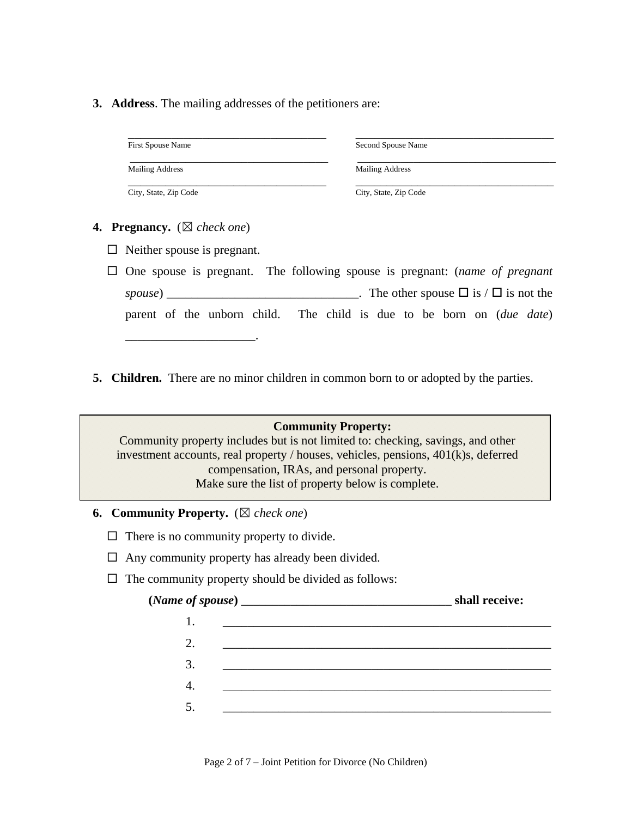**3. Address**. The mailing addresses of the petitioners are:

| <b>First Spouse Name</b> | Second Spouse Name    |
|--------------------------|-----------------------|
| Mailing Address          | Mailing Address       |
| City, State, Zip Code    | City, State, Zip Code |

- **4. Pregnancy.** (☒ *check one*)
	- $\Box$  Neither spouse is pregnant.
	- One spouse is pregnant. The following spouse is pregnant: (*name of pregnant spouse*) \_\_\_\_\_\_\_\_\_\_\_\_\_\_\_\_\_\_\_\_\_\_\_\_\_\_\_\_\_\_. The other spouse  $\Box$  is /  $\Box$  is not the parent of the unborn child. The child is due to be born on (*due date*) \_\_\_\_\_\_\_\_\_\_\_\_\_\_\_\_\_\_\_\_\_.
- **5. Children.** There are no minor children in common born to or adopted by the parties.

#### **Community Property:**

Community property includes but is not limited to: checking, savings, and other investment accounts, real property / houses, vehicles, pensions, 401(k)s, deferred compensation, IRAs, and personal property. Make sure the list of property below is complete.

- **6. Community Property.** (☒ *check one*)
	- $\Box$  There is no community property to divide.
	- $\Box$  Any community property has already been divided.
	- $\Box$  The community property should be divided as follows:

|    | shall receive: |
|----|----------------|
|    |                |
| 2. |                |
| 3. |                |
| 4. |                |
|    |                |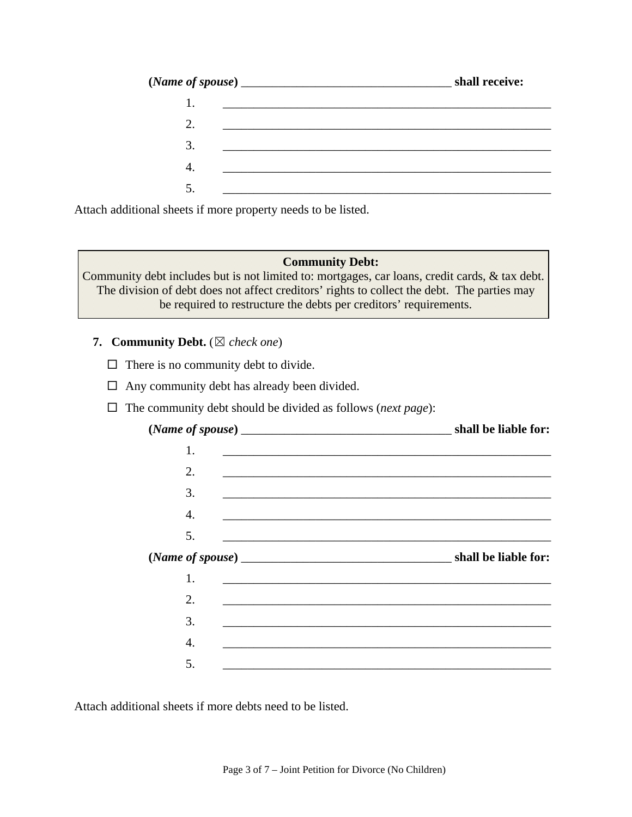|                                                                                                                       | shall receive: |
|-----------------------------------------------------------------------------------------------------------------------|----------------|
| <u> 1990 - Jan Samuel Barbara, martin da shekara ta 1991 - An tsara tsa a shekara tsa 1991 - An tsara tsa 1991 - </u> |                |
| 2.                                                                                                                    |                |
| 3.                                                                                                                    |                |
| 4.                                                                                                                    |                |
|                                                                                                                       |                |

Attach additional sheets if more property needs to be listed.

### **Community Debt:**

Community debt includes but is not limited to: mortgages, car loans, credit cards, & tax debt. The division of debt does not affect creditors' rights to collect the debt. The parties may be required to restructure the debts per creditors' requirements.

### **7. Community Debt.** (☒ *check one*)

- $\Box$  There is no community debt to divide.
- $\Box$  Any community debt has already been divided.
- The community debt should be divided as follows (*next page*):

| shall be liable for:                                                                                                  |                  |
|-----------------------------------------------------------------------------------------------------------------------|------------------|
|                                                                                                                       | 1.               |
| and the control of the control of the control of the control of the control of the control of the control of the      | 2.               |
| <u> 1989 - Johann Stoff, amerikansk politiker (* 1908)</u>                                                            | 3.               |
| <u> 1989 - Johann Stoff, deutscher Stoff, der Stoff, der Stoff, der Stoff, der Stoff, der Stoff, der Stoff, der S</u> | $\overline{4}$ . |
|                                                                                                                       | 5.               |
|                                                                                                                       |                  |
|                                                                                                                       |                  |
|                                                                                                                       | 2.               |
|                                                                                                                       | 3.               |
|                                                                                                                       | 4.               |
|                                                                                                                       | 5.               |
|                                                                                                                       |                  |

Attach additional sheets if more debts need to be listed.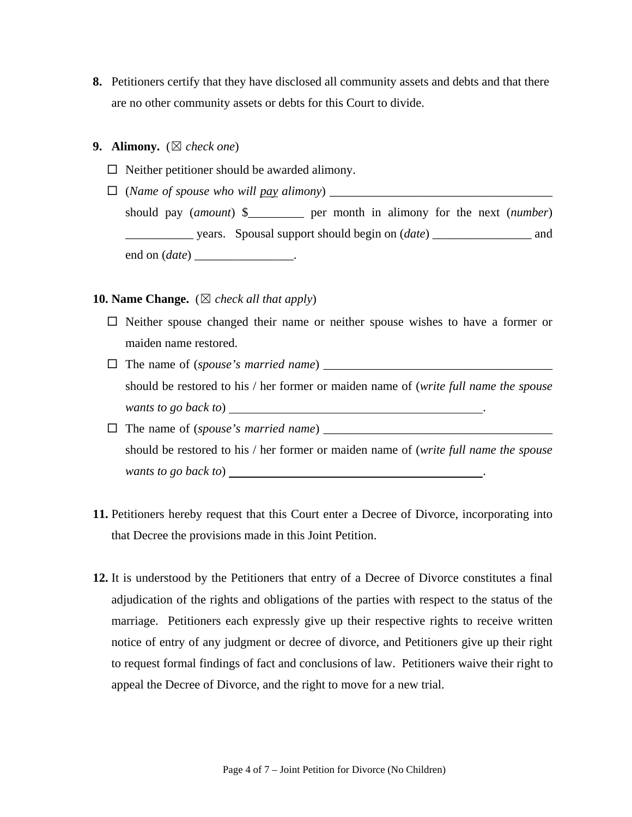**8.** Petitioners certify that they have disclosed all community assets and debts and that there are no other community assets or debts for this Court to divide.

#### **9. Alimony.**  $(\boxtimes$  *check one*)

- $\Box$  Neither petitioner should be awarded alimony.
- (*Name of spouse who will pay alimony*) \_\_\_\_\_\_\_\_\_\_\_\_\_\_\_\_\_\_\_\_\_\_\_\_\_\_\_\_\_\_\_\_\_\_\_\_ should pay (*amount*) \$\_\_\_\_\_\_\_\_\_ per month in alimony for the next (*number*) \_\_\_\_\_\_\_\_\_\_\_ years. Spousal support should begin on (*date*) \_\_\_\_\_\_\_\_\_\_\_\_\_\_\_\_ and end on (*date*) \_\_\_\_\_\_\_\_\_\_\_\_\_\_\_\_.

#### **10. Name Change.**  $(\boxtimes$  *check all that apply*)

- $\Box$  Neither spouse changed their name or neither spouse wishes to have a former or maiden name restored.
- The name of (*spouse's married name*) \_\_\_\_\_\_\_\_\_\_\_\_\_\_\_\_\_\_\_\_\_\_\_\_\_\_\_\_\_\_\_\_\_\_\_\_\_ should be restored to his / her former or maiden name of (*write full name the spouse wants to go back to*) .
- The name of (*spouse's married name*) \_\_\_\_\_\_\_\_\_\_\_\_\_\_\_\_\_\_\_\_\_\_\_\_\_\_\_\_\_\_\_\_\_\_\_\_\_ should be restored to his / her former or maiden name of (*write full name the spouse wants to go back to*) .
- **11.** Petitioners hereby request that this Court enter a Decree of Divorce, incorporating into that Decree the provisions made in this Joint Petition.
- **12.** It is understood by the Petitioners that entry of a Decree of Divorce constitutes a final adjudication of the rights and obligations of the parties with respect to the status of the marriage. Petitioners each expressly give up their respective rights to receive written notice of entry of any judgment or decree of divorce, and Petitioners give up their right to request formal findings of fact and conclusions of law. Petitioners waive their right to appeal the Decree of Divorce, and the right to move for a new trial.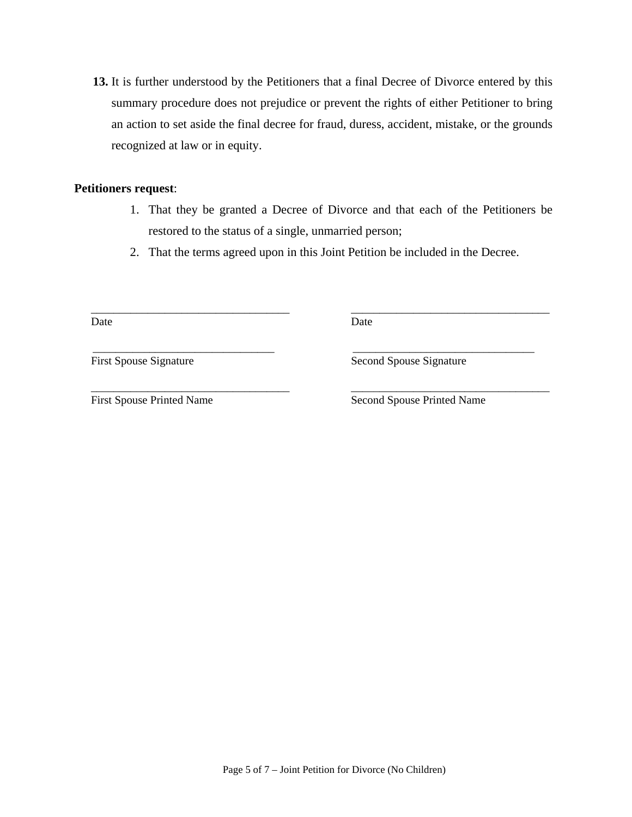**13.** It is further understood by the Petitioners that a final Decree of Divorce entered by this summary procedure does not prejudice or prevent the rights of either Petitioner to bring an action to set aside the final decree for fraud, duress, accident, mistake, or the grounds recognized at law or in equity.

### **Petitioners request**:

- 1. That they be granted a Decree of Divorce and that each of the Petitioners be restored to the status of a single, unmarried person;
- 2. That the terms agreed upon in this Joint Petition be included in the Decree.

Date

Date

\_\_\_\_\_\_\_\_\_\_\_\_\_\_\_\_\_\_\_\_\_\_\_\_\_\_\_\_\_\_\_\_ First Spouse Signature

\_\_\_\_\_\_\_\_\_\_\_\_\_\_\_\_\_\_\_\_\_\_\_\_\_\_\_\_\_\_\_\_ Second Spouse Signature

\_\_\_\_\_\_\_\_\_\_\_\_\_\_\_\_\_\_\_\_\_\_\_\_\_\_\_\_\_\_\_\_\_\_\_ First Spouse Printed Name

\_\_\_\_\_\_\_\_\_\_\_\_\_\_\_\_\_\_\_\_\_\_\_\_\_\_\_\_\_\_\_\_\_\_\_

\_\_\_\_\_\_\_\_\_\_\_\_\_\_\_\_\_\_\_\_\_\_\_\_\_\_\_\_\_\_\_\_\_\_\_ Second Spouse Printed Name

\_\_\_\_\_\_\_\_\_\_\_\_\_\_\_\_\_\_\_\_\_\_\_\_\_\_\_\_\_\_\_\_\_\_\_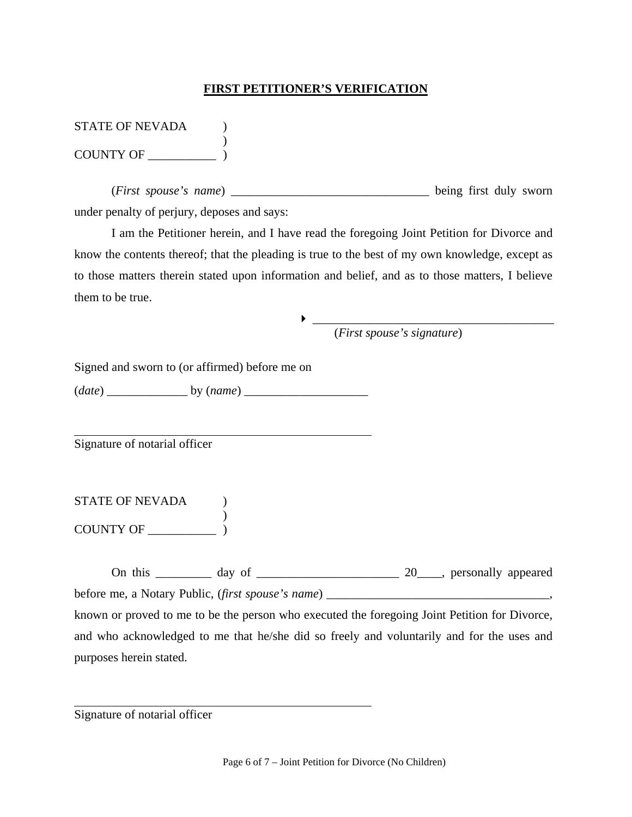## **FIRST PETITIONER'S VERIFICATION**

| <b>STATE OF NEVADA</b> |  |
|------------------------|--|
|                        |  |
| <b>COUNTY OF</b>       |  |

(*First spouse's name*) \_\_\_\_\_\_\_\_\_\_\_\_\_\_\_\_\_\_\_\_\_\_\_\_\_\_\_\_\_\_\_\_ being first duly sworn under penalty of perjury, deposes and says:

I am the Petitioner herein, and I have read the foregoing Joint Petition for Divorce and know the contents thereof; that the pleading is true to the best of my own knowledge, except as to those matters therein stated upon information and belief, and as to those matters, I believe them to be true.

(*First spouse's signature*)

\_\_\_\_\_\_\_\_\_\_\_\_\_\_\_\_\_\_\_\_\_\_\_\_\_\_\_\_\_\_\_\_\_\_\_\_\_\_\_

Signed and sworn to (or affirmed) before me on

(*date*) \_\_\_\_\_\_\_\_\_\_\_\_\_ by (*name*) \_\_\_\_\_\_\_\_\_\_\_\_\_\_\_\_\_\_\_\_

Signature of notarial officer

 $\overline{a}$ 

 $\overline{a}$ 

| <b>STATE OF NEVADA</b> |  |
|------------------------|--|
|                        |  |
| <b>COUNTY OF</b>       |  |

On this \_\_\_\_\_\_\_\_\_ day of \_\_\_\_\_\_\_\_\_\_\_\_\_\_\_\_\_\_\_\_\_\_\_ 20\_\_\_\_, personally appeared before me, a Notary Public, (*first spouse's name*) \_\_\_\_\_\_\_\_\_\_\_\_\_\_\_\_\_\_\_\_\_\_\_\_\_\_\_\_\_\_\_\_\_\_\_\_,

known or proved to me to be the person who executed the foregoing Joint Petition for Divorce, and who acknowledged to me that he/she did so freely and voluntarily and for the uses and purposes herein stated.

Signature of notarial officer